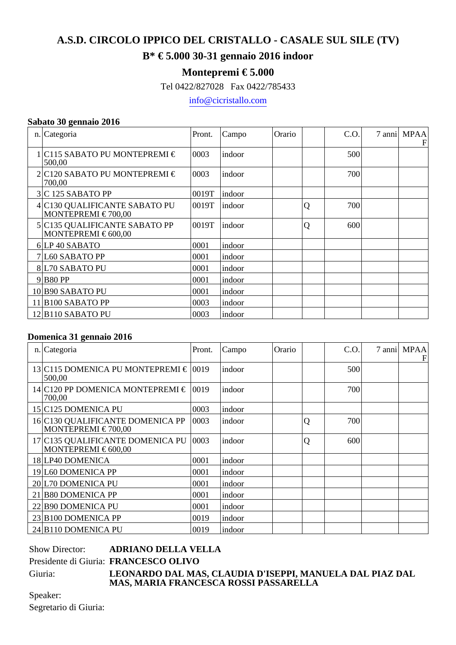# **A.S.D. CIRCOLO IPPICO DEL CRISTALLO - CASALE SUL SILE (TV)**

### **B\* € 5.000 30-31 gennaio 2016 indoor**

### **Montepremi € 5.000**

Tel 0422/827028 Fax 0422/785433

info@cicristallo.com

#### **Sabato 30 gennaio 2016**

| n. Categoria                                             | Pront. | Campo   | Orario |   | C.O. | 7 anni MPAA<br>F |
|----------------------------------------------------------|--------|---------|--------|---|------|------------------|
| 1 C115 SABATO PU MONTEPREMI €<br>500,00                  | 0003   | indoor  |        |   | 500  |                  |
| 2 C120 SABATO PU MONTEPREMI €<br>700,00                  | 0003   | indoor  |        |   | 700  |                  |
| $3 C$ 125 SABATO PP                                      | 0019T  | indoor  |        |   |      |                  |
| 4 C130 QUALIFICANTE SABATO PU<br>MONTEPREMI $\in$ 700,00 | 0019T  | indoor  |        | Q | 700  |                  |
| 5 C135 QUALIFICANTE SABATO PP<br>MONTEPREMI $\in$ 600,00 | 0019T  | lindoor |        | Q | 600  |                  |
| 6LP 40 SABATO                                            | 0001   | indoor  |        |   |      |                  |
| 7 L60 SABATO PP                                          | 0001   | indoor  |        |   |      |                  |
| 8 L70 SABATO PU                                          | 0001   | indoor  |        |   |      |                  |
| $9 B80$ PP                                               | 0001   | indoor  |        |   |      |                  |
| 10 B90 SABATO PU                                         | 0001   | indoor  |        |   |      |                  |
| $11$  B100 SABATO PP                                     | 0003   | indoor  |        |   |      |                  |
| $12$  B110 SABATO PU                                     | 0003   | indoor  |        |   |      |                  |

#### **Domenica 31 gennaio 2016**

| n. Categoria                                                | Pront. | Campo   | Orario |   | C.O. | 7 anni MPAA<br>F |
|-------------------------------------------------------------|--------|---------|--------|---|------|------------------|
| 13 C115 DOMENICA PU MONTEPREMI $\in$ [0019]<br>500,00       |        | indoor  |        |   | 500  |                  |
| 14 C120 PP DOMENICA MONTEPREMI $\in$ [0019]<br>700,00       |        | indoor  |        |   | 700  |                  |
| 15 C125 DOMENICA PU                                         | 0003   | indoor  |        |   |      |                  |
| 16 C130 QUALIFICANTE DOMENICA PP<br>MONTEPREMI $\in$ 700,00 | 0003   | indoor  |        | Q | 700  |                  |
| 17 C135 QUALIFICANTE DOMENICA PU<br>MONTEPREMI $\in$ 600,00 | 0003   | lindoor |        | Q | 600  |                  |
| 18 LP40 DOMENICA                                            | 0001   | indoor  |        |   |      |                  |
| 19 L60 DOMENICA PP                                          | 0001   | indoor  |        |   |      |                  |
| 20 L70 DOMENICA PU                                          | 0001   | indoor  |        |   |      |                  |
| 21 B80 DOMENICA PP                                          | 0001   | indoor  |        |   |      |                  |
| 22 B90 DOMENICA PU                                          | 0001   | indoor  |        |   |      |                  |
| 23 B100 DOMENICA PP                                         | 0019   | indoor  |        |   |      |                  |
| 24 B110 DOMENICA PU                                         | 0019   | indoor  |        |   |      |                  |

| <b>Show Director:</b> | <b>ADRIANO DELLA VELLA</b>                                                            |
|-----------------------|---------------------------------------------------------------------------------------|
|                       | Presidente di Giuria: FRANCESCO OLIVO                                                 |
| Giuria:               | LEONARDO DAL MAS, CLAUDIA D'ISEPPI, MANU<br>MILO MILDIL ED INGEGOI DOGGI DIGGI DELL'I |

# Giuria: **LEONARDO DAL MAS, CLAUDIA D'ISEPPI, MANUELA DAL PIAZ DAL MAS, MARIA FRANCESCA ROSSI PASSARELLA**

Speaker: Segretario di Giuria: